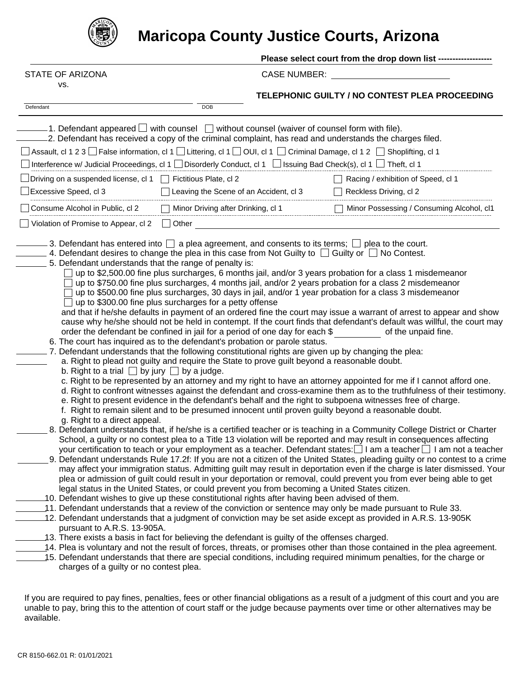

## **Maricopa County Justice Courts, Arizona**

Please select court from the drop down list ------------------

STATE OF ARIZONA CASE NUMBER:

|  |     | FIATE OF ARIZON |
|--|-----|-----------------|
|  | VS. |                 |

**TELEPHONIC GUILTY / NO CONTEST PLEA PROCEEDING**

| Defendant |                                                                                                                                                                                                                           | DOB                                                                                                                                                                                                                                                                                                                                                                                                                                                                                                                                                                                                                                                                                                                                                                                                                                                                                                                                                                                                                                                                        |                                                                                                                                                                                                                                                                                                                                                                                                                                                                                                                                                                                                                                                                                                                                                                                                                                                                                                                                                                                                                                                                                                                                                                                                                                                                                                                                                                                                                                                                                                                                                                                                                                                                                                                                                                                                                                                                                                                                                                                                                                                                                                                                                                                                                                  |  |
|-----------|---------------------------------------------------------------------------------------------------------------------------------------------------------------------------------------------------------------------------|----------------------------------------------------------------------------------------------------------------------------------------------------------------------------------------------------------------------------------------------------------------------------------------------------------------------------------------------------------------------------------------------------------------------------------------------------------------------------------------------------------------------------------------------------------------------------------------------------------------------------------------------------------------------------------------------------------------------------------------------------------------------------------------------------------------------------------------------------------------------------------------------------------------------------------------------------------------------------------------------------------------------------------------------------------------------------|----------------------------------------------------------------------------------------------------------------------------------------------------------------------------------------------------------------------------------------------------------------------------------------------------------------------------------------------------------------------------------------------------------------------------------------------------------------------------------------------------------------------------------------------------------------------------------------------------------------------------------------------------------------------------------------------------------------------------------------------------------------------------------------------------------------------------------------------------------------------------------------------------------------------------------------------------------------------------------------------------------------------------------------------------------------------------------------------------------------------------------------------------------------------------------------------------------------------------------------------------------------------------------------------------------------------------------------------------------------------------------------------------------------------------------------------------------------------------------------------------------------------------------------------------------------------------------------------------------------------------------------------------------------------------------------------------------------------------------------------------------------------------------------------------------------------------------------------------------------------------------------------------------------------------------------------------------------------------------------------------------------------------------------------------------------------------------------------------------------------------------------------------------------------------------------------------------------------------------|--|
|           |                                                                                                                                                                                                                           | $-1$ . Defendant appeared $\Box$ with counsel $\Box$ without counsel (waiver of counsel form with file).<br>.2. Defendant has received a copy of the criminal complaint, has read and understands the charges filed.<br>] Assault, cl 1 2 3 □ False information, cl 1 □ Littering, cl 1 □ OUI, cl 1 □ Criminal Damage, cl 1 2 □ Shoplifting, cl 1<br>Interference w/ Judicial Proceedings, cl 1 Disorderly Conduct, cl 1 Dissuing Bad Check(s), cl 1 D Theft, cl 1                                                                                                                                                                                                                                                                                                                                                                                                                                                                                                                                                                                                         |                                                                                                                                                                                                                                                                                                                                                                                                                                                                                                                                                                                                                                                                                                                                                                                                                                                                                                                                                                                                                                                                                                                                                                                                                                                                                                                                                                                                                                                                                                                                                                                                                                                                                                                                                                                                                                                                                                                                                                                                                                                                                                                                                                                                                                  |  |
|           | JDriving on a suspended license, cl 1<br>Excessive Speed, cl 3                                                                                                                                                            | Fictitious Plate, cl 2<br>Leaving the Scene of an Accident, cl 3                                                                                                                                                                                                                                                                                                                                                                                                                                                                                                                                                                                                                                                                                                                                                                                                                                                                                                                                                                                                           | Racing / exhibition of Speed, cl 1<br>Reckless Driving, cl 2                                                                                                                                                                                                                                                                                                                                                                                                                                                                                                                                                                                                                                                                                                                                                                                                                                                                                                                                                                                                                                                                                                                                                                                                                                                                                                                                                                                                                                                                                                                                                                                                                                                                                                                                                                                                                                                                                                                                                                                                                                                                                                                                                                     |  |
|           | Consume Alcohol in Public, cl 2<br>Violation of Promise to Appear, cl 2                                                                                                                                                   | Minor Driving after Drinking, cl 1<br>$\Box$ Other                                                                                                                                                                                                                                                                                                                                                                                                                                                                                                                                                                                                                                                                                                                                                                                                                                                                                                                                                                                                                         | Minor Possessing / Consuming Alcohol, cl1                                                                                                                                                                                                                                                                                                                                                                                                                                                                                                                                                                                                                                                                                                                                                                                                                                                                                                                                                                                                                                                                                                                                                                                                                                                                                                                                                                                                                                                                                                                                                                                                                                                                                                                                                                                                                                                                                                                                                                                                                                                                                                                                                                                        |  |
|           | 5. Defendant understands that the range of penalty is:<br>b. Right to a trial $\Box$ by jury $\Box$ by a judge.<br>g. Right to a direct appeal.<br>pursuant to A.R.S. 13-905A.<br>charges of a guilty or no contest plea. | 3. Defendant has entered into $\Box$ a plea agreement, and consents to its terms; $\Box$ plea to the court.<br>4. Defendant desires to change the plea in this case from Not Guilty to $\Box$ Guilty or $\Box$ No Contest.<br>up to \$300.00 fine plus surcharges for a petty offense<br>order the defendant be confined in jail for a period of one day for each \$<br>6. The court has inquired as to the defendant's probation or parole status.<br>7. Defendant understands that the following constitutional rights are given up by changing the plea:<br>a. Right to plead not guilty and require the State to prove guilt beyond a reasonable doubt.<br>f. Right to remain silent and to be presumed innocent until proven guilty beyond a reasonable doubt.<br>legal status in the United States, or could prevent you from becoming a United States citizen.<br>10. Defendant wishes to give up these constitutional rights after having been advised of them.<br>13. There exists a basis in fact for believing the defendant is guilty of the offenses charged. | up to \$2,500.00 fine plus surcharges, 6 months jail, and/or 3 years probation for a class 1 misdemeanor<br>up to \$750.00 fine plus surcharges, 4 months jail, and/or 2 years probation for a class 2 misdemeanor<br>up to \$500.00 fine plus surcharges, 30 days in jail, and/or 1 year probation for a class 3 misdemeanor<br>and that if he/she defaults in payment of an ordered fine the court may issue a warrant of arrest to appear and show<br>cause why he/she should not be held in contempt. If the court finds that defendant's default was willful, the court may<br>of the unpaid fine.<br>c. Right to be represented by an attorney and my right to have an attorney appointed for me if I cannot afford one.<br>d. Right to confront witnesses against the defendant and cross-examine them as to the truthfulness of their testimony.<br>e. Right to present evidence in the defendant's behalf and the right to subpoena witnesses free of charge.<br>8. Defendant understands that, if he/she is a certified teacher or is teaching in a Community College District or Charter<br>School, a guilty or no contest plea to a Title 13 violation will be reported and may result in consequences affecting<br>your certification to teach or your employment as a teacher. Defendant states: □ I am a teacher □ I am not a teacher<br>9. Defendant understands Rule 17.2f: If you are not a citizen of the United States, pleading guilty or no contest to a crime<br>may affect your immigration status. Admitting guilt may result in deportation even if the charge is later dismissed. Your<br>plea or admission of guilt could result in your deportation or removal, could prevent you from ever being able to get<br>11. Defendant understands that a review of the conviction or sentence may only be made pursuant to Rule 33.<br>12. Defendant understands that a judgment of conviction may be set aside except as provided in A.R.S. 13-905K<br>14. Plea is voluntary and not the result of forces, threats, or promises other than those contained in the plea agreement.<br>15. Defendant understands that there are special conditions, including required minimum penalties, for the charge or |  |
|           |                                                                                                                                                                                                                           |                                                                                                                                                                                                                                                                                                                                                                                                                                                                                                                                                                                                                                                                                                                                                                                                                                                                                                                                                                                                                                                                            |                                                                                                                                                                                                                                                                                                                                                                                                                                                                                                                                                                                                                                                                                                                                                                                                                                                                                                                                                                                                                                                                                                                                                                                                                                                                                                                                                                                                                                                                                                                                                                                                                                                                                                                                                                                                                                                                                                                                                                                                                                                                                                                                                                                                                                  |  |

If you are required to pay fines, penalties, fees or other financial obligations as a result of a judgment of this court and you are unable to pay, bring this to the attention of court staff or the judge because payments over time or other alternatives may be available.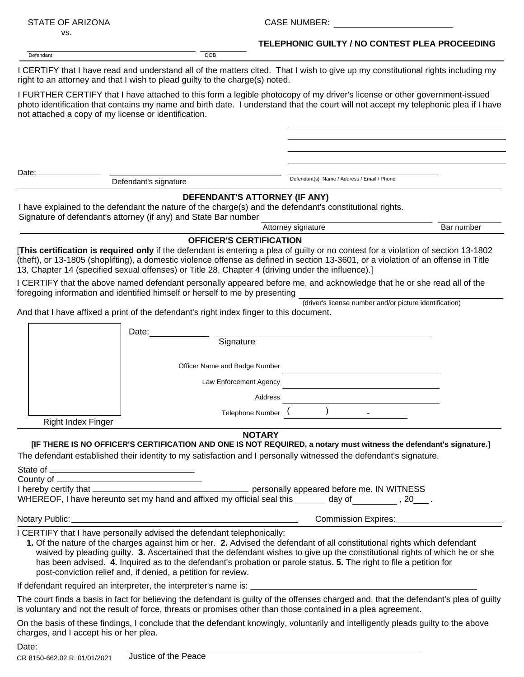| <b>STATE OF ARIZONA</b>                              |                                                                                                                                         | <b>CASE NUMBER:</b>                                                                                                                                                                                                                                                                                                                                                             |            |  |  |
|------------------------------------------------------|-----------------------------------------------------------------------------------------------------------------------------------------|---------------------------------------------------------------------------------------------------------------------------------------------------------------------------------------------------------------------------------------------------------------------------------------------------------------------------------------------------------------------------------|------------|--|--|
| VS.                                                  |                                                                                                                                         | TELEPHONIC GUILTY / NO CONTEST PLEA PROCEEDING                                                                                                                                                                                                                                                                                                                                  |            |  |  |
| Defendant                                            | <b>DOB</b>                                                                                                                              |                                                                                                                                                                                                                                                                                                                                                                                 |            |  |  |
|                                                      | right to an attorney and that I wish to plead guilty to the charge(s) noted.                                                            | I CERTIFY that I have read and understand all of the matters cited. That I wish to give up my constitutional rights including my                                                                                                                                                                                                                                                |            |  |  |
| not attached a copy of my license or identification. |                                                                                                                                         | I FURTHER CERTIFY that I have attached to this form a legible photocopy of my driver's license or other government-issued<br>photo identification that contains my name and birth date. I understand that the court will not accept my telephonic plea if I have                                                                                                                |            |  |  |
|                                                      |                                                                                                                                         |                                                                                                                                                                                                                                                                                                                                                                                 |            |  |  |
| Date:                                                |                                                                                                                                         |                                                                                                                                                                                                                                                                                                                                                                                 |            |  |  |
|                                                      | Defendant's signature                                                                                                                   | Defendant(s) Name / Address / Email / Phone                                                                                                                                                                                                                                                                                                                                     |            |  |  |
|                                                      | Signature of defendant's attorney (if any) and State Bar number                                                                         | DEFENDANT'S ATTORNEY (IF ANY)<br>I have explained to the defendant the nature of the charge(s) and the defendant's constitutional rights.                                                                                                                                                                                                                                       |            |  |  |
|                                                      |                                                                                                                                         | Attorney signature                                                                                                                                                                                                                                                                                                                                                              | Bar number |  |  |
|                                                      | <b>OFFICER'S CERTIFICATION</b>                                                                                                          | [This certification is required only if the defendant is entering a plea of guilty or no contest for a violation of section 13-1802<br>(theft), or 13-1805 (shoplifting), a domestic violence offense as defined in section 13-3601, or a violation of an offense in Title<br>13, Chapter 14 (specified sexual offenses) or Title 28, Chapter 4 (driving under the influence).  |            |  |  |
|                                                      | foregoing information and identified himself or herself to me by presenting                                                             | I CERTIFY that the above named defendant personally appeared before me, and acknowledge that he or she read all of the                                                                                                                                                                                                                                                          |            |  |  |
|                                                      | And that I have affixed a print of the defendant's right index finger to this document.                                                 | (driver's license number and/or picture identification)                                                                                                                                                                                                                                                                                                                         |            |  |  |
|                                                      | Date:                                                                                                                                   |                                                                                                                                                                                                                                                                                                                                                                                 |            |  |  |
|                                                      | Signature                                                                                                                               |                                                                                                                                                                                                                                                                                                                                                                                 |            |  |  |
|                                                      | Officer Name and Badge Number                                                                                                           |                                                                                                                                                                                                                                                                                                                                                                                 |            |  |  |
|                                                      | Law Enforcement Agency                                                                                                                  |                                                                                                                                                                                                                                                                                                                                                                                 |            |  |  |
|                                                      |                                                                                                                                         | Address                                                                                                                                                                                                                                                                                                                                                                         |            |  |  |
|                                                      |                                                                                                                                         | Telephone Number (                                                                                                                                                                                                                                                                                                                                                              |            |  |  |
| <b>Right Index Finger</b>                            |                                                                                                                                         |                                                                                                                                                                                                                                                                                                                                                                                 |            |  |  |
|                                                      |                                                                                                                                         | <b>NOTARY</b><br>[IF THERE IS NO OFFICER'S CERTIFICATION AND ONE IS NOT REQUIRED, a notary must witness the defendant's signature.]                                                                                                                                                                                                                                             |            |  |  |
|                                                      |                                                                                                                                         | The defendant established their identity to my satisfaction and I personally witnessed the defendant's signature.                                                                                                                                                                                                                                                               |            |  |  |
|                                                      |                                                                                                                                         |                                                                                                                                                                                                                                                                                                                                                                                 |            |  |  |
|                                                      |                                                                                                                                         |                                                                                                                                                                                                                                                                                                                                                                                 |            |  |  |
|                                                      |                                                                                                                                         | WHEREOF, I have hereunto set my hand and affixed my official seal this ______ day of ________, 20___.                                                                                                                                                                                                                                                                           |            |  |  |
| Notary Public:_                                      | <u> 1989 - Johann Stoff, Amerikaansk politiker († 1908)</u>                                                                             | Commission Expires:                                                                                                                                                                                                                                                                                                                                                             |            |  |  |
|                                                      | I CERTIFY that I have personally advised the defendant telephonically:<br>post-conviction relief and, if denied, a petition for review. | 1. Of the nature of the charges against him or her. 2. Advised the defendant of all constitutional rights which defendant<br>waived by pleading guilty. 3. Ascertained that the defendant wishes to give up the constitutional rights of which he or she<br>has been advised. 4. Inquired as to the defendant's probation or parole status. 5. The right to file a petition for |            |  |  |
|                                                      |                                                                                                                                         |                                                                                                                                                                                                                                                                                                                                                                                 |            |  |  |
|                                                      |                                                                                                                                         | The court finds a basis in fact for believing the defendant is guilty of the offenses charged and, that the defendant's plea of guilty<br>is voluntary and not the result of force, threats or promises other than those contained in a plea agreement.                                                                                                                         |            |  |  |
| charges, and I accept his or her plea.               |                                                                                                                                         | On the basis of these findings, I conclude that the defendant knowingly, voluntarily and intelligently pleads guilty to the above                                                                                                                                                                                                                                               |            |  |  |